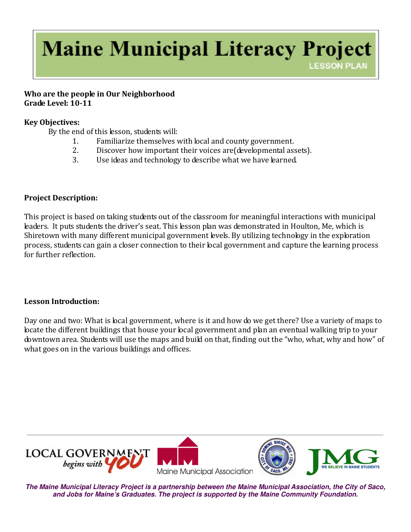# **Maine Municipal Literacy Project LESSON PLAN**

#### Who are the people in Our Neighborhood Grade Level: 10-11

### Key Objectives:

By the end of this lesson, students will:

- 1. Familiarize themselves with local and county government.
- 2. Discover how important their voices are(developmental assets).
- 3. Use ideas and technology to describe what we have learned.

## Project Description:

This project is based on taking students out of the classroom for meaningful interactions with municipal leaders. It puts students the driver's seat. This lesson plan was demonstrated in Houlton, Me, which is Shiretown with many different municipal government levels. By utilizing technology in the exploration process, students can gain a closer connection to their local government and capture the learning process for further reflection.

### Lesson Introduction:

Day one and two: What is local government, where is it and how do we get there? Use a variety of maps to locate the different buildings that house your local government and plan an eventual walking trip to your downtown area. Students will use the maps and build on that, finding out the "who, what, why and how" of what goes on in the various buildings and offices.



**The Maine Municipal Literacy Project is a partnership between the Maine Municipal Association, the City of Saco, and Jobs for Maine's Graduates. The project is supported by the Maine Community Foundation.**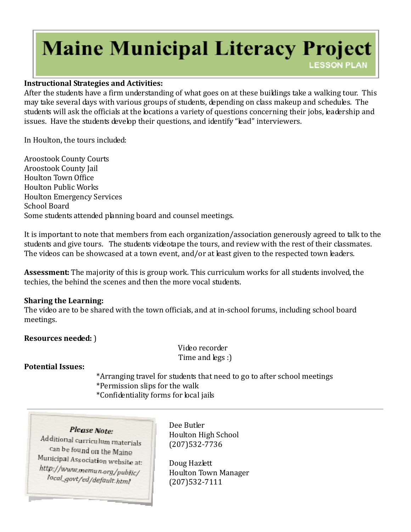# **Maine Municipal Literacy Project LESSON PLAN**

#### Instructional Strategies and Activities:

After the students have a firm understanding of what goes on at these buildings take a walking tour. This may take several days with various groups of students, depending on class makeup and schedules. The students will ask the officials at the locations a variety of questions concerning their jobs, leadership and issues. Have the students develop their questions, and identify "lead" interviewers.

In Houlton, the tours included:

Aroostook County Courts Aroostook County Jail Houlton Town Office Houlton Public Works Houlton Emergency Services School Board Some students attended planning board and counsel meetings.

It is important to note that members from each organization/association generously agreed to talk to the students and give tours. The students videotape the tours, and review with the rest of their classmates. The videos can be showcased at a town event, and/or at least given to the respected town leaders.

Assessment: The majority of this is group work. This curriculum works for all students involved, the techies, the behind the scenes and then the more vocal students.

#### Sharing the Learning:

The video are to be shared with the town officials, and at in-school forums, including school board meetings.

Resources needed: )

 Video recorder Time and legs :)

Potential Issues:

 \*Arranging travel for students that need to go to after school meetings \*Permission slips for the walk \*Confidentiality forms for local jails

#### Please Note:

Additional curriculum materials can be found on the Maine Municipal Association website at: http://www.memun.org/public/ local\_govt/ed/default\_html

Dee Butler Houlton High School (207)532-7736

Doug Hazlett Houlton Town Manager (207)532-7111